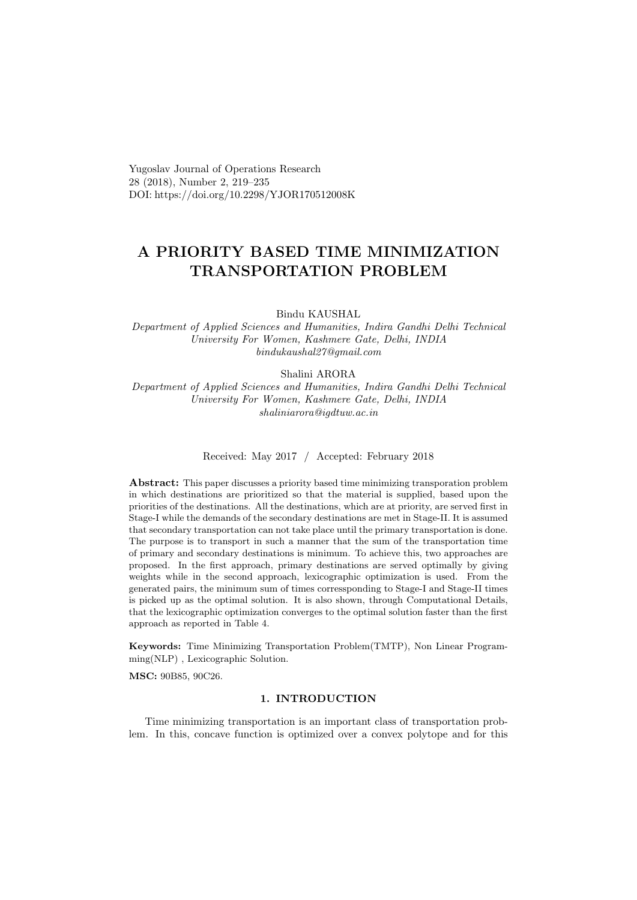Yugoslav Journal of Operations Research 28 (2018), Number 2, 219–235 DOI: https://doi.org/10.2298/YJOR170512008K

# A PRIORITY BASED TIME MINIMIZATION TRANSPORTATION PROBLEM

Bindu KAUSHAL

Department of Applied Sciences and Humanities, Indira Gandhi Delhi Technical University For Women, Kashmere Gate, Delhi, INDIA bindukaushal27@gmail.com

Shalini ARORA

Department of Applied Sciences and Humanities, Indira Gandhi Delhi Technical University For Women, Kashmere Gate, Delhi, INDIA shaliniarora@igdtuw.ac.in

Received: May 2017 / Accepted: February 2018

Abstract: This paper discusses a priority based time minimizing transporation problem in which destinations are prioritized so that the material is supplied, based upon the priorities of the destinations. All the destinations, which are at priority, are served first in Stage-I while the demands of the secondary destinations are met in Stage-II. It is assumed that secondary transportation can not take place until the primary transportation is done. The purpose is to transport in such a manner that the sum of the transportation time of primary and secondary destinations is minimum. To achieve this, two approaches are proposed. In the first approach, primary destinations are served optimally by giving weights while in the second approach, lexicographic optimization is used. From the generated pairs, the minimum sum of times corressponding to Stage-I and Stage-II times is picked up as the optimal solution. It is also shown, through Computational Details, that the lexicographic optimization converges to the optimal solution faster than the first approach as reported in Table 4.

Keywords: Time Minimizing Transportation Problem(TMTP), Non Linear Programming(NLP) , Lexicographic Solution.

MSC: 90B85, 90C26.

# 1. INTRODUCTION

Time minimizing transportation is an important class of transportation problem. In this, concave function is optimized over a convex polytope and for this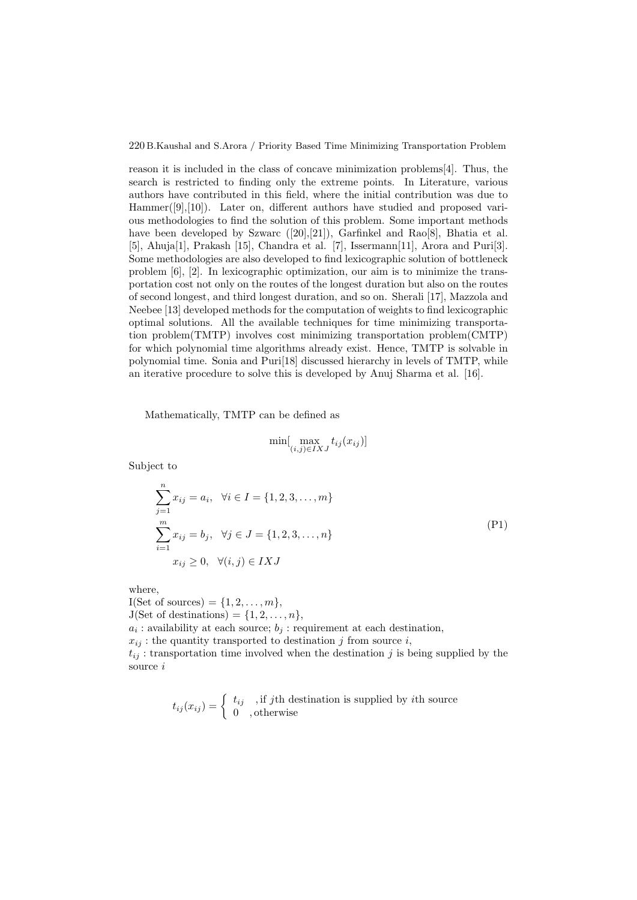reason it is included in the class of concave minimization problems[4]. Thus, the search is restricted to finding only the extreme points. In Literature, various authors have contributed in this field, where the initial contribution was due to Hammer([9],[10]). Later on, different authors have studied and proposed various methodologies to find the solution of this problem. Some important methods have been developed by Szwarc  $([20],[21])$ , Garfinkel and Rao[8], Bhatia et al. [5], Ahuja[1], Prakash [15], Chandra et al. [7], Issermann[11], Arora and Puri[3]. Some methodologies are also developed to find lexicographic solution of bottleneck problem [6], [2]. In lexicographic optimization, our aim is to minimize the transportation cost not only on the routes of the longest duration but also on the routes of second longest, and third longest duration, and so on. Sherali [17], Mazzola and Neebee [13] developed methods for the computation of weights to find lexicographic optimal solutions. All the available techniques for time minimizing transportation problem(TMTP) involves cost minimizing transportation problem(CMTP) for which polynomial time algorithms already exist. Hence, TMTP is solvable in polynomial time. Sonia and Puri[18] discussed hierarchy in levels of TMTP, while an iterative procedure to solve this is developed by Anuj Sharma et al. [16].

Mathematically, TMTP can be defined as

$$
\min[\max_{(i,j)\in IXJ} t_{ij}(x_{ij})]
$$

Subject to

$$
\sum_{j=1}^{n} x_{ij} = a_i, \quad \forall i \in I = \{1, 2, 3, ..., m\}
$$
  

$$
\sum_{i=1}^{m} x_{ij} = b_j, \quad \forall j \in J = \{1, 2, 3, ..., n\}
$$
  

$$
x_{ij} \ge 0, \quad \forall (i, j) \in IXJ
$$
 (P1)

where,

I(Set of sources) =  $\{1, 2, \ldots, m\},\$  $J(Set of destinations) = \{1, 2, \ldots, n\},\$  $a_i$ : availability at each source;  $b_j$ : requirement at each destination,  $x_{ij}$ : the quantity transported to destination j from source i,  $t_{ij}$ : transportation time involved when the destination j is being supplied by the source i

$$
t_{ij}(x_{ij}) = \begin{cases} t_{ij} & \text{, if } j\text{th destination is supplied by } i\text{th source} \\ 0 & \text{, otherwise} \end{cases}
$$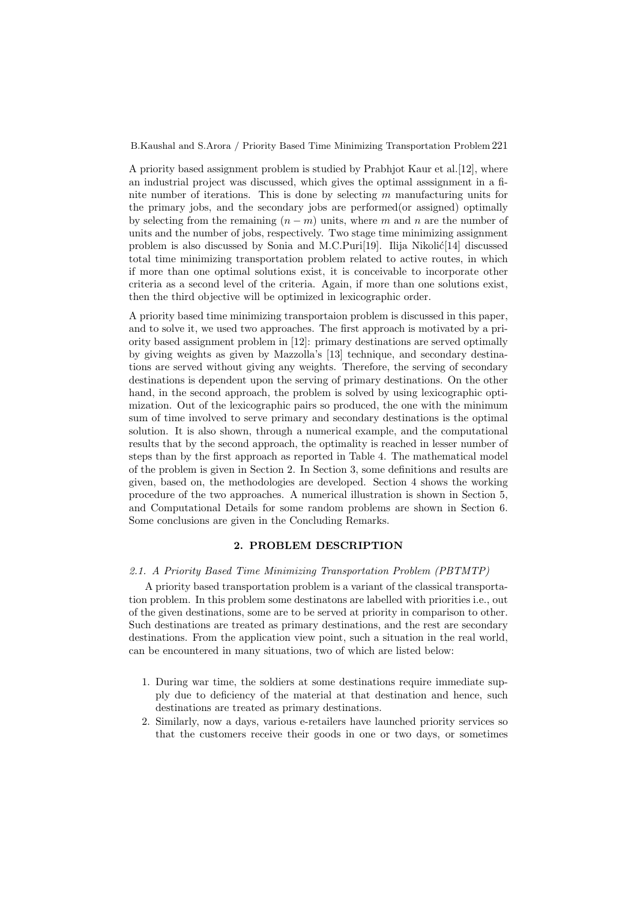A priority based assignment problem is studied by Prabhjot Kaur et al.[12], where an industrial project was discussed, which gives the optimal asssignment in a finite number of iterations. This is done by selecting m manufacturing units for the primary jobs, and the secondary jobs are performed(or assigned) optimally by selecting from the remaining  $(n - m)$  units, where m and n are the number of units and the number of jobs, respectively. Two stage time minimizing assignment problem is also discussed by Sonia and M.C.Puri[19]. Ilija Nikolić[14] discussed total time minimizing transportation problem related to active routes, in which if more than one optimal solutions exist, it is conceivable to incorporate other criteria as a second level of the criteria. Again, if more than one solutions exist, then the third objective will be optimized in lexicographic order.

A priority based time minimizing transportaion problem is discussed in this paper, and to solve it, we used two approaches. The first approach is motivated by a priority based assignment problem in [12]: primary destinations are served optimally by giving weights as given by Mazzolla's [13] technique, and secondary destinations are served without giving any weights. Therefore, the serving of secondary destinations is dependent upon the serving of primary destinations. On the other hand, in the second approach, the problem is solved by using lexicographic optimization. Out of the lexicographic pairs so produced, the one with the minimum sum of time involved to serve primary and secondary destinations is the optimal solution. It is also shown, through a numerical example, and the computational results that by the second approach, the optimality is reached in lesser number of steps than by the first approach as reported in Table 4. The mathematical model of the problem is given in Section 2. In Section 3, some definitions and results are given, based on, the methodologies are developed. Section 4 shows the working procedure of the two approaches. A numerical illustration is shown in Section 5, and Computational Details for some random problems are shown in Section 6. Some conclusions are given in the Concluding Remarks.

#### 2. PROBLEM DESCRIPTION

#### 2.1. A Priority Based Time Minimizing Transportation Problem (PBTMTP)

A priority based transportation problem is a variant of the classical transportation problem. In this problem some destinatons are labelled with priorities i.e., out of the given destinations, some are to be served at priority in comparison to other. Such destinations are treated as primary destinations, and the rest are secondary destinations. From the application view point, such a situation in the real world, can be encountered in many situations, two of which are listed below:

- 1. During war time, the soldiers at some destinations require immediate supply due to deficiency of the material at that destination and hence, such destinations are treated as primary destinations.
- 2. Similarly, now a days, various e-retailers have launched priority services so that the customers receive their goods in one or two days, or sometimes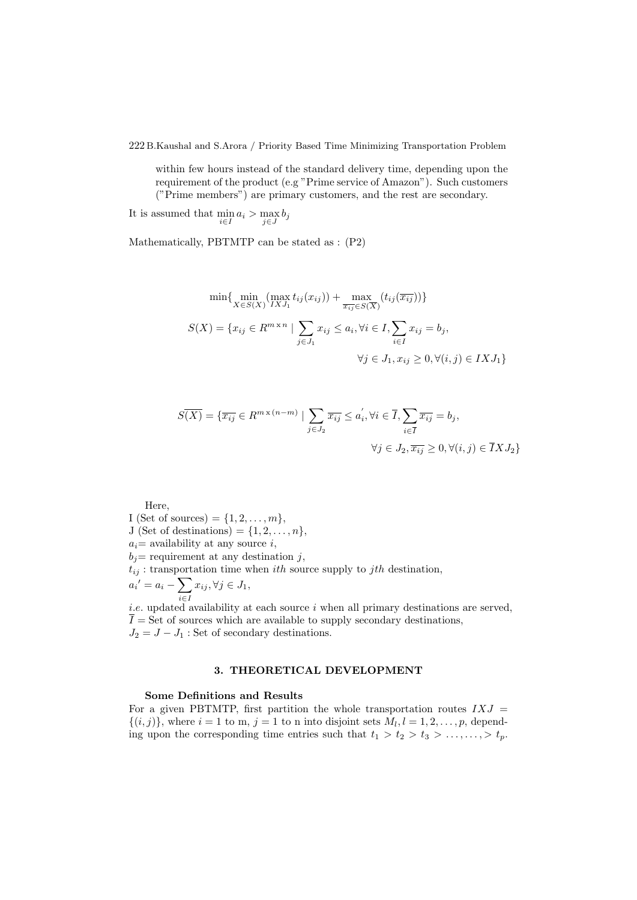within few hours instead of the standard delivery time, depending upon the requirement of the product (e.g "Prime service of Amazon"). Such customers ("Prime members") are primary customers, and the rest are secondary.

It is assumed that  $\min_{i \in I} a_i > \max_{j \in J} b_j$ 

Mathematically, PBTMTP can be stated as : (P2)

$$
\min\{\min_{X\in S(X)} (\max_{IXJ_1} t_{ij}(x_{ij})) + \max_{\overline{x_{ij}}\in S(\overline{X})} (t_{ij}(\overline{x_{ij}}))\}
$$
  

$$
S(X) = \{x_{ij} \in R^{m \times n} \mid \sum_{j \in J_1} x_{ij} \le a_i, \forall i \in I, \sum_{i \in I} x_{ij} = b_j,
$$
  

$$
\forall j \in J_1, x_{ij} \ge 0, \forall (i, j) \in IXJ_1\}
$$

$$
S(\overline{X}) = \{ \overline{x_{ij}} \in R^{m \times (n-m)} \mid \sum_{j \in J_2} \overline{x_{ij}} \le a_i', \forall i \in \overline{I}, \sum_{i \in \overline{I}} \overline{x_{ij}} = b_j,
$$
  

$$
\forall j \in J_2, \overline{x_{ij}} \ge 0, \forall (i, j) \in \overline{I} X J_2 \}
$$

Here,

I (Set of sources) =  $\{1, 2, \ldots, m\},\$ J (Set of destinations) =  $\{1, 2, \ldots, n\},\$  $a_i$  = availability at any source i,  $b_j$  requirement at any destination j,  $t_{ij}$ : transportation time when *ith* source supply to *jth* destination,  $a_i' = a_i - \sum$ i∈I  $x_{ij}, \forall j \in J_1,$ i.e. updated availability at each source  $i$  when all primary destinations are served,

 $\overline{I}$  = Set of sources which are available to supply secondary destinations,  $J_2 = J - J_1$ : Set of secondary destinations.

# 3. THEORETICAL DEVELOPMENT

## Some Definitions and Results

For a given PBTMTP, first partition the whole transportation routes  $IXJ =$  $\{(i,j)\}\text{, where } i=1 \text{ to } m, j=1 \text{ to } n \text{ into disjoint sets } M_l, l=1,2,\ldots,p, \text{ depend-}$ ing upon the corresponding time entries such that  $t_1 > t_2 > t_3 > \ldots, \ldots, t_p$ .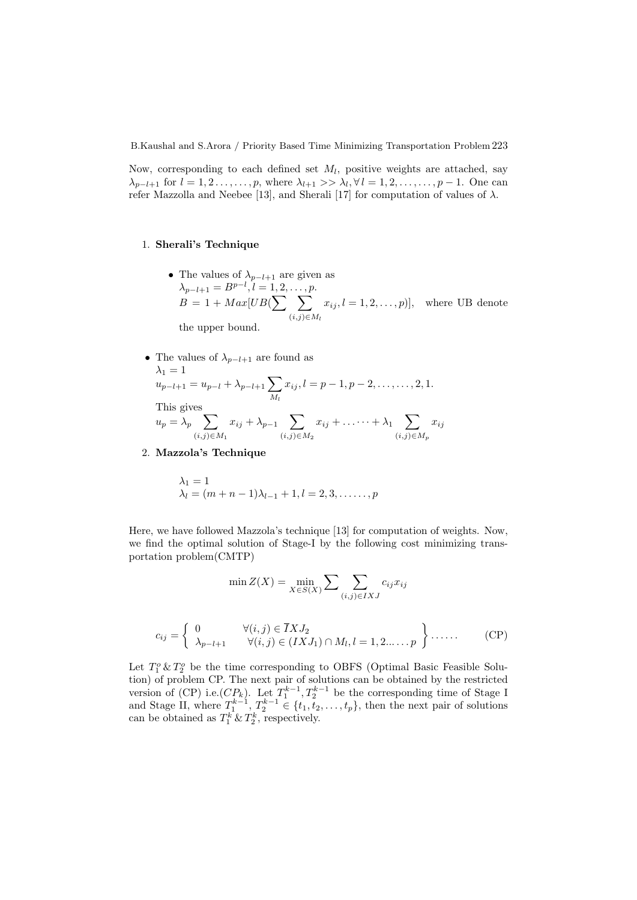Now, corresponding to each defined set  $M_l$ , positive weights are attached, say  $\lambda_{p-l+1}$  for  $l=1,2,\ldots,\ldots,p$ , where  $\lambda_{l+1} >> \lambda_l, \forall l=1,2,\ldots,\ldots,p-1$ . One can refer Mazzolla and Neebee [13], and Sherali [17] for computation of values of  $\lambda$ .

#### 1. Sherali's Technique

- The values of  $\lambda_{p-l+1}$  are given as  $\lambda_{p-l+1} = B^{p-l}, l = 1, 2, \ldots, p.$  $B = 1 + Max[UB(\sum \sum$  $(i,j) \in M_l$  $x_{ij}, l = 1, 2, \ldots, p$ , where UB denote the upper bound.
- The values of  $\lambda_{p-l+1}$  are found as  $\lambda_1=1$  $u_{p-l+1} = u_{p-l} + \lambda_{p-l+1} \sum$  $x_{ij}, l = p-1, p-2, \ldots, \ldots, 2, 1.$

 $M_l$ 

This gives

$$
u_p = \lambda_p \sum_{(i,j)\in M_1} x_{ij} + \lambda_{p-1} \sum_{(i,j)\in M_2} x_{ij} + \ldots + \lambda_1 \sum_{(i,j)\in M_p} x_{ij}
$$

2. Mazzola's Technique

$$
\lambda_1 = 1
$$
  
\n $\lambda_l = (m + n - 1)\lambda_{l-1} + 1, l = 2, 3, \dots, p$ 

Here, we have followed Mazzola's technique [13] for computation of weights. Now, we find the optimal solution of Stage-I by the following cost minimizing transportation problem(CMTP)

$$
\min Z(X) = \min_{X \in S(X)} \sum \sum_{(i,j) \in IXJ} c_{ij} x_{ij}
$$

$$
c_{ij} = \begin{cases} 0 & \forall (i,j) \in \overline{I}XJ_2 \\ \lambda_{p-l+1} & \forall (i,j) \in (IXJ_1) \cap M_l, l = 1, 2, \dots, p \end{cases}
$$
 (CP)

Let  $T_1^o$  &  $T_2^o$  be the time corresponding to OBFS (Optimal Basic Feasible Solution) of problem CP. The next pair of solutions can be obtained by the restricted version of (CP) i.e.  $(CP_k)$ . Let  $T_1^{k-1}, T_2^{k-1}$  be the corresponding time of Stage I and Stage II, where  $T_1^{k-1}$ ,  $T_2^{k-1} \in \{t_1, t_2, \ldots, t_p\}$ , then the next pair of solutions can be obtained as  $T_1^k \& T_2^k$ , respectively.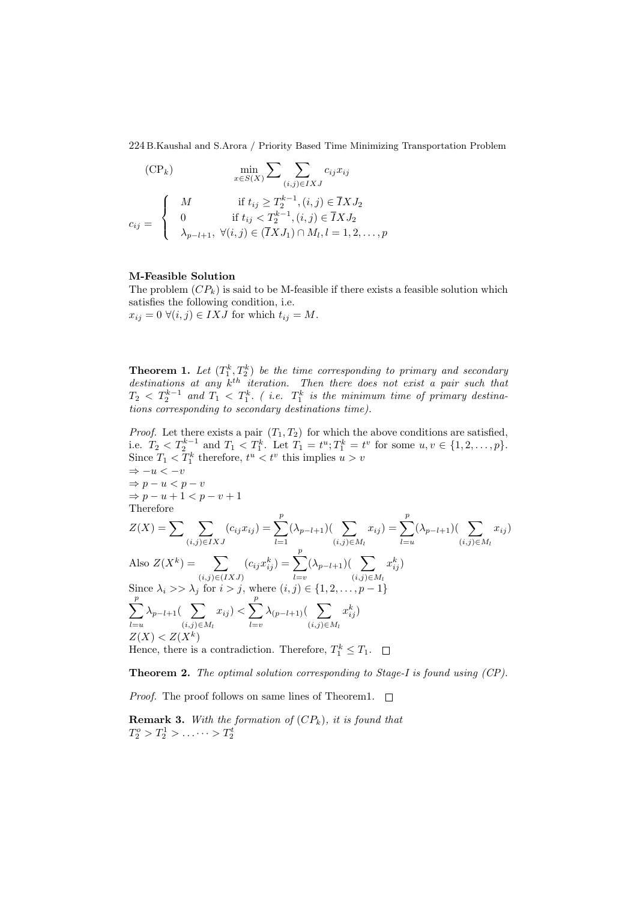$$
(\text{CP}_k) \qquad \min_{x \in S(X)} \sum \sum_{(i,j) \in IXJ} c_{ij} x_{ij}
$$

$$
c_{ij} = \begin{cases} M & \text{if } t_{ij} \ge T_2^{k-1}, (i,j) \in \overline{I}XJ_2 \\ 0 & \text{if } t_{ij} < T_2^{k-1}, (i,j) \in \overline{I}XJ_2 \\ \lambda_{p-l+1}, \ \forall (i,j) \in (\overline{I}XJ_1) \cap M_l, l = 1, 2, \dots, p \end{cases}
$$

### M-Feasible Solution

The problem  $(CP_k)$  is said to be M-feasible if there exists a feasible solution which satisfies the following condition, i.e.  $x_{ij} = 0 \; \forall (i, j) \in IXJ$  for which  $t_{ij} = M$ .

**Theorem 1.** Let  $(T_1^k, T_2^k)$  be the time corresponding to primary and secondary destinations at any  $k^{th}$  iteration. Then there does not exist a pair such that  $T_2 \, <\, T_2^{k-1}$  and  $T_1 \, <\, T_1^k$ . (i.e.  $T_1^k$  is the minimum time of primary destinations corresponding to secondary destinations time).

*Proof.* Let there exists a pair  $(T_1, T_2)$  for which the above conditions are satisfied, i.e.  $T_2 < T_2^{k-1}$  and  $T_1 < T_1^k$ . Let  $T_1 = t^u$ ;  $T_1^k = t^v$  for some  $u, v \in \{1, 2, ..., p\}$ . Since  $T_1 < T_1^k$  therefore,  $t^u < t^v$  this implies  $u > v$  $\Rightarrow$   $-u < -v$  $\Rightarrow p - u < p - v$  $\Rightarrow p - u + 1 < p - v + 1$ Therefore  $Z(X) = \sum \ \sum$  $(i,j) \in IXJ$  $(c_{ij}x_{ij}) = \sum_{i=1}^{p}$  $_{l=1}$  $(\lambda_{p-l+1})(\sum)$  $(i,j) \in M_l$  $x_{ij}$ ) =  $\sum_{i=1}^{p}$  $_{l=u}$  $(\lambda_{p-l+1})(\sum)$  $(i,j) \in M_l$  $x_{ij}$ Also  $Z(X^k) = \sum$  $(i,j) \in (IXJ)$  $(c_{ij}x_{ij}^k) = \sum^p$  $_{l=v}$  $(\lambda_{p-l+1})(\sum)$  $(i,j) \in M_l$  $x_{ij}^k$ Since  $\lambda_i >> \lambda_j$  for  $i > j$ , where  $(i, j) \in \{1, 2, \ldots, p - 1\}$  $\sum_{i=1}^{p}$  $_{l=u}$  $\lambda_{p-l+1}(\sum)$  $(i,j) \in M_l$  $(x_{ij}) < \sum_{i=1}^{p}$  $_{l=v}$  $\lambda_{(p-l+1)}($   $\sum$  $(i,j) \in M_l$  $x_{ij}^k$  $Z(X) < Z(X^k)$ 

Hence, there is a contradiction. Therefore,  $T_1^k \leq T_1$ .

Theorem 2. The optimal solution corresponding to Stage-I is found using (CP).

*Proof.* The proof follows on same lines of Theorem1.  $\Box$ 

**Remark 3.** With the formation of  $(CP_k)$ , it is found that  $T_2^o > T_2^1 > \ldots \cdots > T_2^t$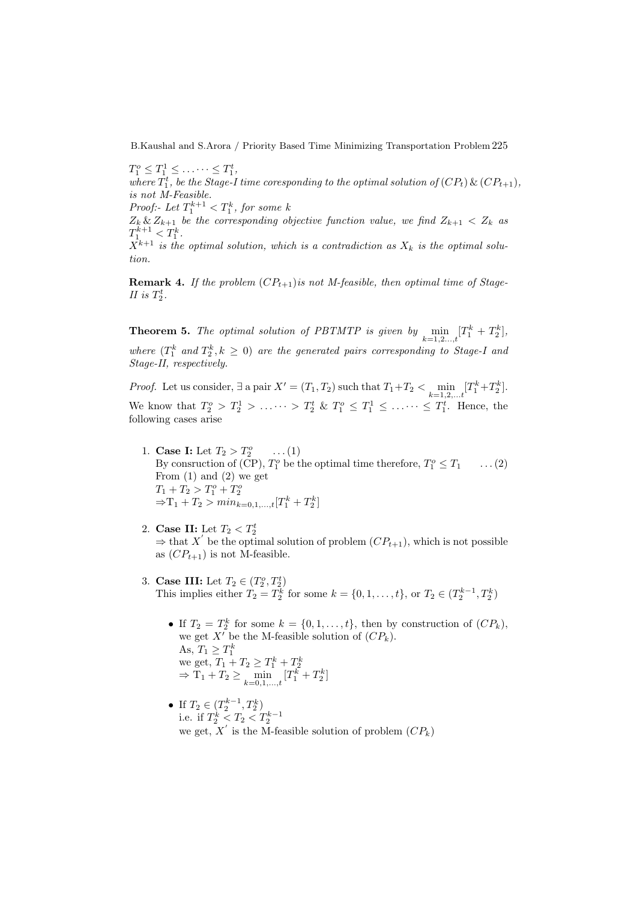$T_1^o \leq T_1^1 \leq \ldots \cdots \leq T_1^t,$ where  $T_1^t$ , be the Stage-I time coresponding to the optimal solution of  $(CP_t) \& (CP_{t+1}),$ is not M-Feasible. Proof:- Let  $T_1^{k+1} < T_1^k$ , for some k  $Z_k \& Z_{k+1}$  be the corresponding objective function value, we find  $Z_{k+1} < Z_k$  as  $T_1^{k+1} < T_1^k$ .  $X^{k+1}$  is the optimal solution, which is a contradiction as  $X_k$  is the optimal solution.

**Remark 4.** If the problem  $(CP_{t+1})$  is not M-feasible, then optimal time of Stage-II is  $T_2^t$ .

**Theorem 5.** The optimal solution of PBTMTP is given by  $\min_{k=1,2,\dots,t} [T_1^k + T_2^k]$ , where  $(T_1^k$  and  $T_2^k, k \geq 0)$  are the generated pairs corresponding to Stage-I and Stage-II, respectively.

*Proof.* Let us consider,  $\exists$  a pair  $X' = (T_1, T_2)$  such that  $T_1 + T_2 < \min_{k=1,2,\dots,t} [T_1^k + T_2^k]$ . We know that  $T_2^o > T_2^1 > \ldots \cdots > T_2^t \& T_1^o \leq T_1^1 \leq \ldots \cdots \leq T_1^t$ . Hence, the following cases arise

- 1. **Case I:** Let  $T_2 > T_2^o$  ...(1) By consruction of (CP),  $T_1^o$  be the optimal time therefore,  $T_1^o \leq T_1 \quad \dots (2)$ From  $(1)$  and  $(2)$  we get  $T_1 + T_2 > T_1^o + T_2^o$  $\Rightarrow$ T<sub>1</sub> + T<sub>2</sub> > min<sub>k=0,1,...,t</sub>[T<sub>1</sub><sup>k</sup> + T<sub>2</sub><sup>k</sup>]
- 2. Case II: Let  $T_2 < T_2^t$  $\Rightarrow$  that X' be the optimal solution of problem  $(CP_{t+1})$ , which is not possible as  $(CP_{t+1})$  is not M-feasible.
- 3. **Case III:** Let  $T_2 \in (T_2^o, T_2^t)$ This implies either  $T_2 = T_2^k$  for some  $k = \{0, 1, ..., t\}$ , or  $T_2 \in (T_2^{k-1}, T_2^k)$ 
	- If  $T_2 = T_2^k$  for some  $k = \{0, 1, \ldots, t\}$ , then by construction of  $(CP_k)$ , we get  $X'$  be the M-feasible solution of  $(CP_k)$ . As,  $T_1 \geq T_1^k$ <br>we get,  $T_1 + T_2 \geq T_1^k + T_2^k$ <br> $\Rightarrow$   $T_1 + T_2 \geq \min_{k=0,1,...,t} [T_1^k + T_2^k]$
	- If  $T_2 \in (T_2^{k-1}, T_2^k)$ i.e. if  $T_2^k < T_2 < T_2^{k-1}$ we get,  $X'$  is the M-feasible solution of problem  $(CP_k)$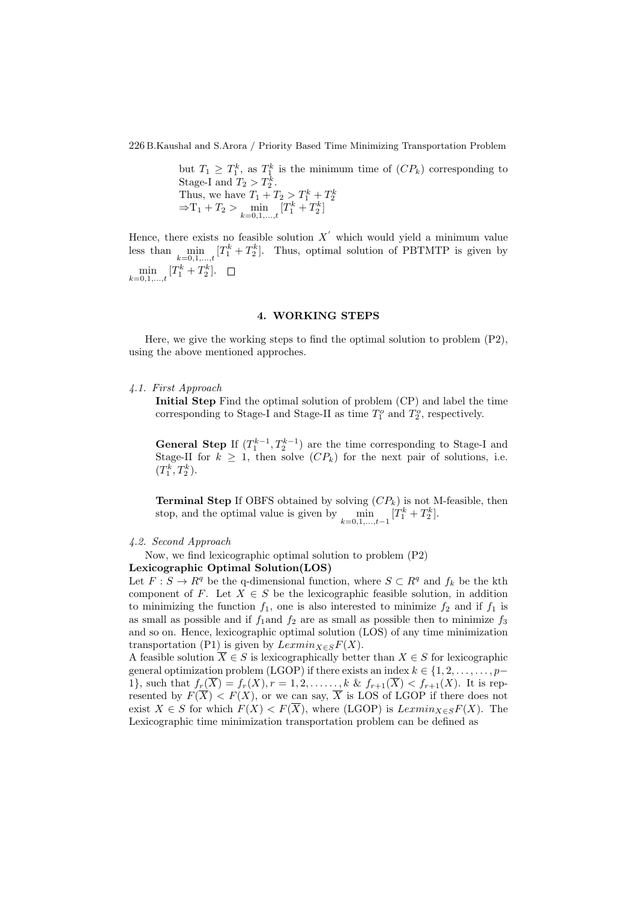but  $T_1 \geq T_1^k$ , as  $T_1^k$  is the minimum time of  $(CP_k)$  corresponding to Stage-I and  $T_2 > T_2^k$ . Thus, we have  $T_1 + T_2 > T_1^k + T_2^k$ <br>  $\Rightarrow$   $T_1 + T_2 > \min_{k=0,1,...,t} [T_1^k + T_2^k]$ 

Hence, there exists no feasible solution  $X'$  which would yield a minimum value less than  $\min_{k=0,1,\ldots,t} [T_1^k + T_2^k]$ . Thus, optimal solution of PBTMTP is given by  $\min_{k=0,1,...,t} [T_1^k + T_2^k].$ 

## 4. WORKING STEPS

Here, we give the working steps to find the optimal solution to problem  $(P2)$ , using the above mentioned approches.

4.1. First Approach

Initial Step Find the optimal solution of problem (CP) and label the time corresponding to Stage-I and Stage-II as time  $T_1^o$  and  $T_2^o$ , respectively.

**General Step** If  $(T_1^{k-1}, T_2^{k-1})$  are the time corresponding to Stage-I and Stage-II for  $k \geq 1$ , then solve  $(CP_k)$  for the next pair of solutions, i.e.  $(T_1^k, T_2^k).$ 

**Terminal Step** If OBFS obtained by solving  $(CP_k)$  is not M-feasible, then stop, and the optimal value is given by  $\min_{k=0,1,\dots,t-1} [T_1^k + T_2^k]$ .

4.2. Second Approach

Now, we find lexicographic optimal solution to problem (P2)

## Lexicographic Optimal Solution(LOS)

Let  $F: S \to R^q$  be the q-dimensional function, where  $S \subset R^q$  and  $f_k$  be the kth component of F. Let  $X \in S$  be the lexicographic feasible solution, in addition to minimizing the function  $f_1$ , one is also interested to minimize  $f_2$  and if  $f_1$  is as small as possible and if  $f_1$ and  $f_2$  are as small as possible then to minimize  $f_3$ and so on. Hence, lexicographic optimal solution (LOS) of any time minimization transportation (P1) is given by  $Lexmin_{X \in S} F(X)$ .

A feasible solution  $\overline{X} \in S$  is lexicographically better than  $X \in S$  for lexicographic general optimization problem (LGOP) if there exists an index  $k \in \{1, 2, \ldots, \ldots, p-$ 1}, such that  $f_r(\overline{X}) = f_r(X), r = 1, 2, \ldots, k \& f_{r+1}(\overline{X}) < f_{r+1}(X)$ . It is represented by  $F(X) < F(X)$ , or we can say, X is LOS of LGOP if there does not exist  $X \in S$  for which  $F(X) < F(\overline{X})$ , where (LGOP) is  $Lexmin_{X \in S} F(X)$ . The Lexicographic time minimization transportation problem can be defined as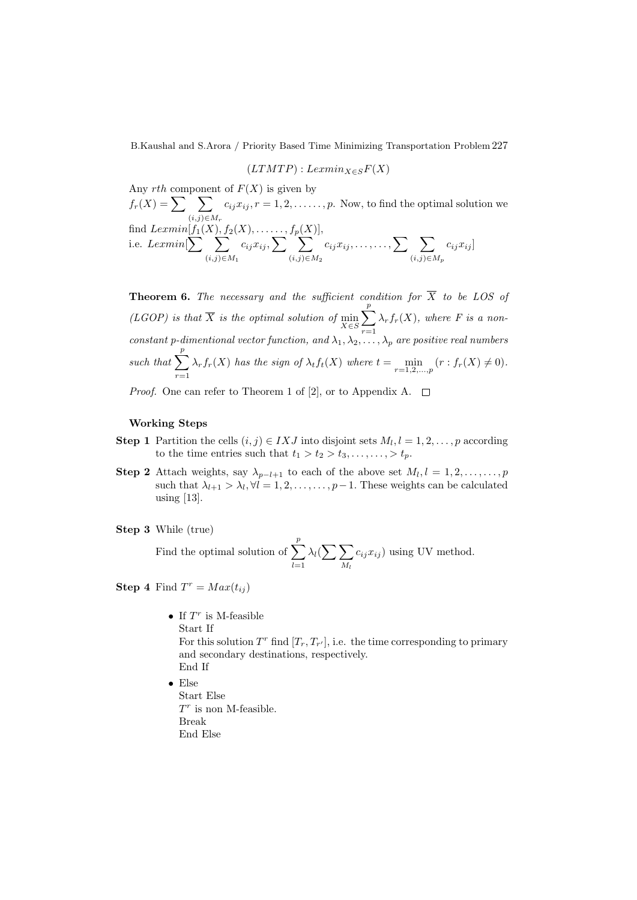$$
(LTMTP): Lexmin_{X \in S} F(X)
$$

Any  $rth$  component of  $F(X)$  is given by

 $f_r(X) = \sum \sum$  $(i,j) \in M_r$  $c_{ij}x_{ij}, r = 1, 2, \ldots, p$ . Now, to find the optimal solution we find  $Lexmin[f_1(X), f_2(X), \ldots, f_p(X)],$ i.e. Lexmin  $\sum \sum$  $(i,j) \in M_1$  $c_{ij}x_{ij}, \sum \sum$  $(i,j) \in M_2$  $c_{ij}x_{ij}, \ldots, \ldots, \sum \quad \sum$  $(i,j) \in M_p$  $c_{ij}x_{ij}$ 

**Theorem 6.** The necessary and the sufficient condition for  $\overline{X}$  to be LOS of (LGOP) is that X is the optimal solution of  $\min_{X \in S}$  $\sum_{i=1}^{p}$  $r=1$  $\lambda_r f_r(X)$ , where F is a nonconstant p-dimentional vector function, and  $\lambda_1, \lambda_2, \ldots, \lambda_p$  are positive real numbers such that  $\sum_{n=1}^{p}$  $r=1$  $\lambda_r f_r(X)$  has the sign of  $\lambda_t f_t(X)$  where  $t = \min_{r=1,2,\dots,p} (r : f_r(X) \neq 0)$ .

*Proof.* One can refer to Theorem 1 of [2], or to Appendix A.  $\square$ 

### Working Steps

- **Step 1** Partition the cells  $(i, j) \in IXJ$  into disjoint sets  $M_l, l = 1, 2, \ldots, p$  according to the time entries such that  $t_1 > t_2 > t_3, \ldots, \ldots, t_p$ .
- **Step 2** Attach weights, say  $\lambda_{p-l+1}$  to each of the above set  $M_l, l = 1, 2, \ldots, \ldots, p$ such that  $\lambda_{l+1} > \lambda_l, \forall l = 1, 2, \ldots, \ldots, p-1$ . These weights can be calculated using [13].

```
Step 3 While (true)
```
Find the optimal solution of  $\sum_{i=1}^{p}$  $l=1$  $\lambda_l(\sum\sum)$  $M_l$  $c_{ij}x_{ij}$ ) using UV method.

**Step 4** Find  $T^r = Max(t_{ij})$ 

- If  $T^r$  is M-feasible Start If For this solution  $T^r$  find  $[T_r, T_{r'}]$ , i.e. the time corresponding to primary and secondary destinations, respectively. End If
- Else Start Else  $T<sup>r</sup>$  is non M-feasible. Break End Else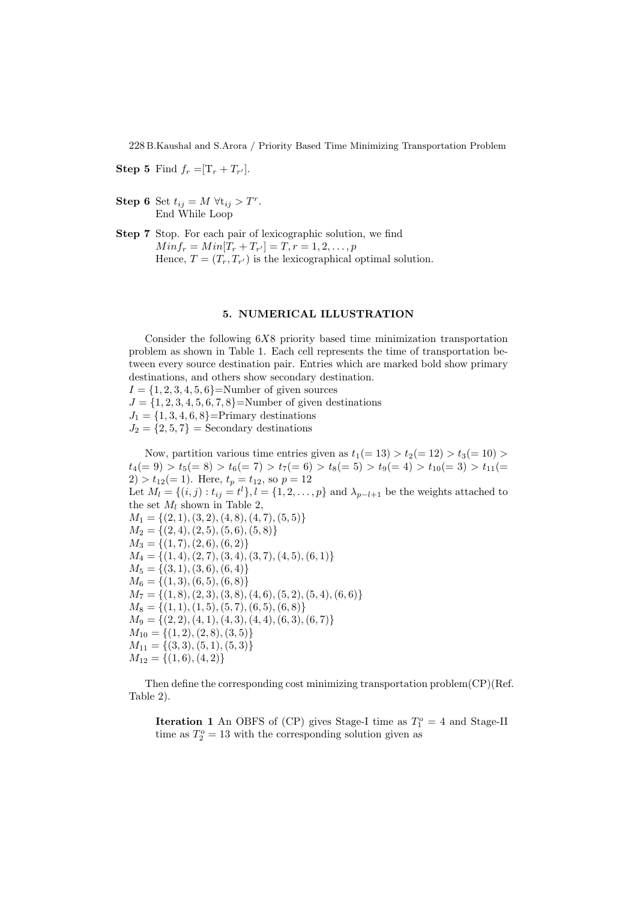**Step 5** Find  $f_r = [T_r + T_{r'}].$ 

- Step 6 Set  $t_{ij} = M \ \forall t_{ij} > T^r$ . End While Loop
- Step 7 Stop. For each pair of lexicographic solution, we find  $Minf_r = Min[T_r + T_{r'}] = T, r = 1, 2, ..., p$ Hence,  $T = (T_r, T_{r'})$  is the lexicographical optimal solution.

#### 5. NUMERICAL ILLUSTRATION

Consider the following  $6X8$  priority based time minimization transportation problem as shown in Table 1. Each cell represents the time of transportation between every source destination pair. Entries which are marked bold show primary destinations, and others show secondary destination.  $I = \{1, 2, 3, 4, 5, 6\}$ =Number of given sources  $J = \{1, 2, 3, 4, 5, 6, 7, 8\}$ =Number of given destinations  $J_1 = \{1, 3, 4, 6, 8\}$ =Primary destinations  $J_2 = \{2, 5, 7\}$  = Secondary destinations

Now, partition various time entries given as  $t_1(= 13) > t_2(= 12) > t_3(= 10) >$  $t_4(= 9) > t_5(= 8) > t_6(= 7) > t_7(= 6) > t_8(= 5) > t_9(= 4) > t_{10}(= 3) > t_{11}(=$  $2) > t_{12} (= 1)$ . Here,  $t_p = t_{12}$ , so  $p = 12$ Let  $M_l = \{(i, j) : t_{ij} = t^l\}, l = \{1, 2, ..., p\}$  and  $\lambda_{p-l+1}$  be the weights attached to the set  $M_l$  shown in Table 2,  $M_1 = \{(2, 1), (3, 2), (4, 8), (4, 7), (5, 5)\}$  $M_2 = \{(2, 4), (2, 5), (5, 6), (5, 8)\}$  $M_3 = \{(1, 7), (2, 6), (6, 2)\}\$  $M_4 = \{(1, 4), (2, 7), (3, 4), (3, 7), (4, 5), (6, 1)\}\$  $M_5 = \{(3, 1), (3, 6), (6, 4)\}$  $M_6 = \{(1, 3), (6, 5), (6, 8)\}$  $M_7 = \{(1, 8), (2, 3), (3, 8), (4, 6), (5, 2), (5, 4), (6, 6)\}$  $M_8 = \{(1, 1), (1, 5), (5, 7), (6, 5), (6, 8)\}$  $M_9 = \{(2, 2), (4, 1), (4, 3), (4, 4), (6, 3), (6, 7)\}\$  $M_{10} = \{(1, 2), (2, 8), (3, 5)\}\$  $M_{11} = \{(3,3), (5,1), (5,3)\}$  $M_{12} = \{(1,6), (4,2)\}\$ 

Then define the corresponding cost minimizing transportation problem(CP)(Ref. Table 2).

**Iteration 1** An OBFS of (CP) gives Stage-I time as  $T_1^o = 4$  and Stage-II time as  $T_2^o = 13$  with the corresponding solution given as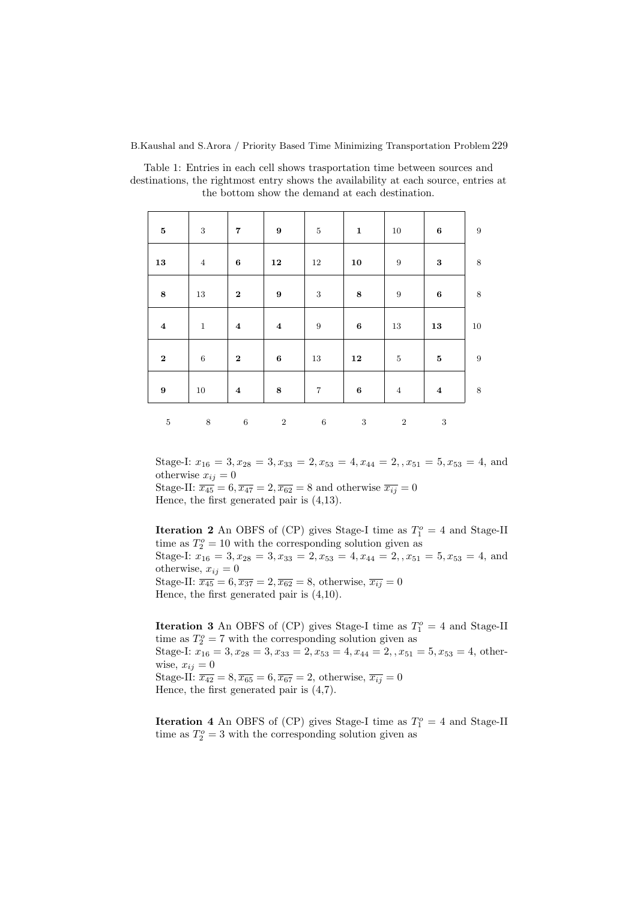| $\bf{5}$         | 3            | $\overline{\mathbf{7}}$ | 9                       | $\overline{5}$ | $\mathbf 1$      | 10               | $\bf{6}$       | $\overline{9}$ |
|------------------|--------------|-------------------------|-------------------------|----------------|------------------|------------------|----------------|----------------|
| 13               | $\,4\,$      | $\bf{6}$                | 12                      | 12             | 10               | $\boldsymbol{9}$ | $\bf{3}$       | 8              |
| $\bf 8$          | 13           | $\boldsymbol{2}$        | $\boldsymbol{9}$        | $\sqrt{3}$     | 8                | 9                | $\bf 6$        | 8              |
| $\boldsymbol{4}$ | $\mathbf{1}$ | $\boldsymbol{4}$        | $\overline{\mathbf{4}}$ | $\,9$          | $\boldsymbol{6}$ | 13               | 13             | 10             |
| $\bf 2$          | $\,6\,$      | $\boldsymbol{2}$        | $\bf 6$                 | $13\,$         | 12               | $\bf 5$          | ${\bf 5}$      | $\overline{9}$ |
| $\boldsymbol{9}$ | 10           | $\boldsymbol{4}$        | 8                       | $\overline{7}$ | $\bf 6$          | $\overline{4}$   | $\overline{4}$ | 8              |
| $\bf 5$          | 8            | $\,6\,$                 | $\overline{2}$          | $\,6\,$        | 3                | $\overline{2}$   | 3              |                |

Table 1: Entries in each cell shows trasportation time between sources and destinations, the rightmost entry shows the availability at each source, entries at the bottom show the demand at each destination.

Stage-I:  $x_{16} = 3, x_{28} = 3, x_{33} = 2, x_{53} = 4, x_{44} = 2, x_{51} = 5, x_{53} = 4, \text{ and}$ otherwise  $x_{ij} = 0$ Stage-II:  $\overline{x_{45}} = 6$ ,  $\overline{x_{47}} = 2$ ,  $\overline{x_{62}} = 8$  and otherwise  $\overline{x_{ij}} = 0$ Hence, the first generated pair is (4,13).

**Iteration 2** An OBFS of (CP) gives Stage-I time as  $T_1^o = 4$  and Stage-II time as  $T_2^o = 10$  with the corresponding solution given as Stage-I:  $x_{16} = 3, x_{28} = 3, x_{33} = 2, x_{53} = 4, x_{44} = 2, x_{51} = 5, x_{53} = 4,$  and otherwise,  $x_{ij} = 0$ Stage-II:  $\overline{x_{45}} = 6, \overline{x_{37}} = 2, \overline{x_{62}} = 8$ , otherwise,  $\overline{x_{ij}} = 0$ Hence, the first generated pair is (4,10).

**Iteration 3** An OBFS of (CP) gives Stage-I time as  $T_1^o = 4$  and Stage-II time as  $T_2^o = 7$  with the corresponding solution given as Stage-I:  $x_{16} = 3, x_{28} = 3, x_{33} = 2, x_{53} = 4, x_{44} = 2, x_{51} = 5, x_{53} = 4, \text{ other}$ wise,  $x_{ij} = 0$ Stage-II:  $\overline{x_{42}} = 8, \overline{x_{65}} = 6, \overline{x_{67}} = 2$ , otherwise,  $\overline{x_{ij}} = 0$ Hence, the first generated pair is (4,7).

**Iteration 4** An OBFS of (CP) gives Stage-I time as  $T_1^o = 4$  and Stage-II time as  $T_2^o = 3$  with the corresponding solution given as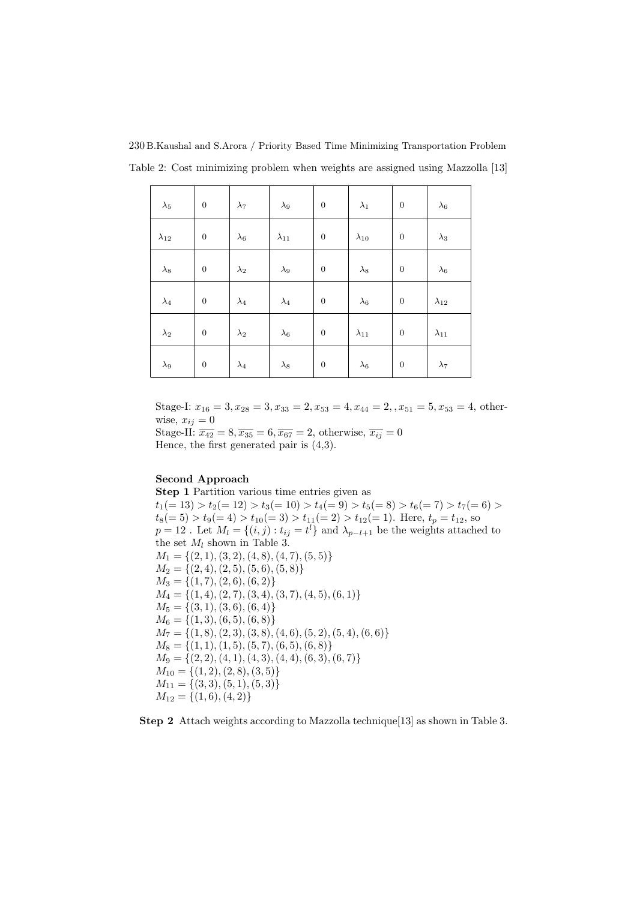230 B.Kaushal and S.Arora / Priority Based Time Minimizing Transportation Problem Table 2: Cost minimizing problem when weights are assigned using Mazzolla [13]

| $\lambda_5$    | $\boldsymbol{0}$ | $\lambda_7$ | $\lambda_9$    | $\boldsymbol{0}$ | $\lambda_1$    | $\boldsymbol{0}$ | $\lambda_6$    |
|----------------|------------------|-------------|----------------|------------------|----------------|------------------|----------------|
| $\lambda_{12}$ | $\boldsymbol{0}$ | $\lambda_6$ | $\lambda_{11}$ | $\boldsymbol{0}$ | $\lambda_{10}$ | $\boldsymbol{0}$ | $\lambda_3$    |
| $\lambda_8$    | $\boldsymbol{0}$ | $\lambda_2$ | $\lambda_9$    | $\boldsymbol{0}$ | $\lambda_8$    | $\boldsymbol{0}$ | $\lambda_6$    |
| $\lambda_4$    | $\boldsymbol{0}$ | $\lambda_4$ | $\lambda_4$    | $\boldsymbol{0}$ | $\lambda_6$    | $\boldsymbol{0}$ | $\lambda_{12}$ |
| $\lambda_2$    | $\boldsymbol{0}$ | $\lambda_2$ | $\lambda_6$    | $\boldsymbol{0}$ | $\lambda_{11}$ | $\boldsymbol{0}$ | $\lambda_{11}$ |
| $\lambda_9$    | $\boldsymbol{0}$ | $\lambda_4$ | $\lambda_8$    | $\boldsymbol{0}$ | $\lambda_6$    | $\boldsymbol{0}$ | $\lambda_7$    |

Stage-I:  $x_{16} = 3, x_{28} = 3, x_{33} = 2, x_{53} = 4, x_{44} = 2, x_{51} = 5, x_{53} = 4, \text{ other}$ wise,  $x_{ij} = 0$ 

Stage-II:  $\overline{x_{42}} = 8, \overline{x_{35}} = 6, \overline{x_{67}} = 2$ , otherwise,  $\overline{x_{ij}} = 0$ Hence, the first generated pair is (4,3).

# Second Approach

Step 1 Partition various time entries given as  $t_1(= 13) > t_2(= 12) > t_3(= 10) > t_4(= 9) > t_5(= 8) > t_6(= 7) > t_7(= 6) >$  $t_8(= 5) > t_9(= 4) > t_{10}(= 3) > t_{11}(= 2) > t_{12}(= 1)$ . Here,  $t_p = t_{12}$ , so  $p = 12$ . Let  $M_l = \{(i, j) : t_{ij} = t^l\}$  and  $\lambda_{p-l+1}$  be the weights attached to the set  $M_l$  shown in Table 3.  $M_1 = \{(2, 1), (3, 2), (4, 8), (4, 7), (5, 5)\}$  $M_2 = \{(2, 4), (2, 5), (5, 6), (5, 8)\}$  $M_3 = \{(1, 7), (2, 6), (6, 2)\}\$  $M_4 = \{(1, 4), (2, 7), (3, 4), (3, 7), (4, 5), (6, 1)\}\$  $M_5 = \{(3, 1), (3, 6), (6, 4)\}\$  $M_6 = \{(1,3), (6,5), (6,8)\}\$  $M_7 = \{(1, 8), (2, 3), (3, 8), (4, 6), (5, 2), (5, 4), (6, 6)\}\$  $M_8 = \{(1, 1), (1, 5), (5, 7), (6, 5), (6, 8)\}$  $M_9 = \{(2, 2), (4, 1), (4, 3), (4, 4), (6, 3), (6, 7)\}\$  $M_{10} = \{(1, 2), (2, 8), (3, 5)\}\$  $M_{11} = \{(3,3), (5,1), (5,3)\}\$  $M_{12} = \{(1,6), (4,2)\}\$ 

Step 2 Attach weights according to Mazzolla technique [13] as shown in Table 3.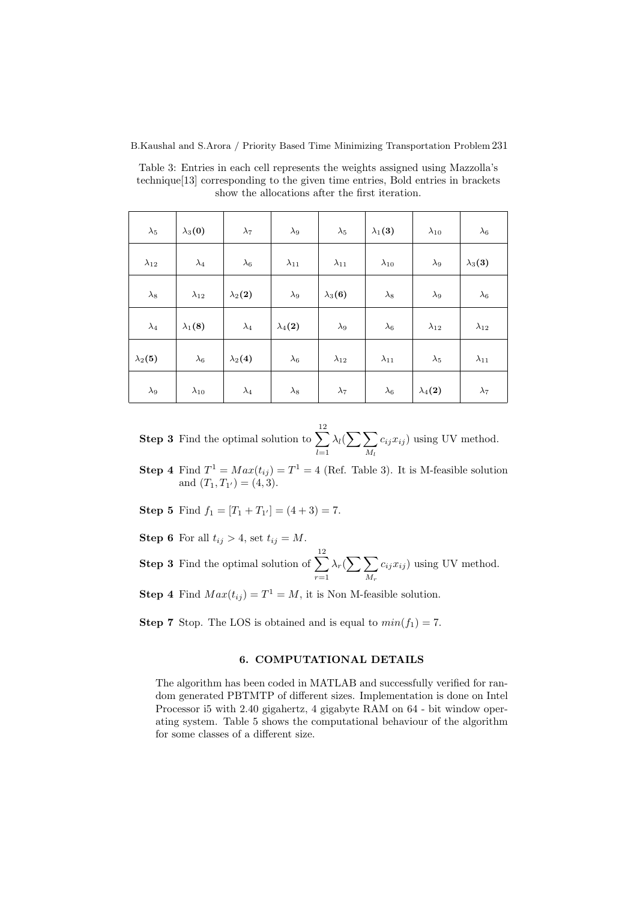Table 3: Entries in each cell represents the weights assigned using Mazzolla's technique[13] corresponding to the given time entries, Bold entries in brackets show the allocations after the first iteration.

| $\lambda_5$    | $\lambda_3(0)$ | $\lambda_7$    | $\lambda_9$    | $\lambda_5$    | $\lambda_1(3)$ | $\lambda_{10}$ | $\lambda_6$    |
|----------------|----------------|----------------|----------------|----------------|----------------|----------------|----------------|
| $\lambda_{12}$ | $\lambda_4$    | $\lambda_6$    | $\lambda_{11}$ | $\lambda_{11}$ | $\lambda_{10}$ | $\lambda_9$    | $\lambda_3(3)$ |
| $\lambda_8$    | $\lambda_{12}$ | $\lambda_2(2)$ | $\lambda_9$    | $\lambda_3(6)$ | $\lambda_8$    | $\lambda_9$    | $\lambda_6$    |
| $\lambda_4$    | $\lambda_1(8)$ | $\lambda_4$    | $\lambda_4(2)$ | $\lambda_9$    | $\lambda_6$    | $\lambda_{12}$ | $\lambda_{12}$ |
| $\lambda_2(5)$ | $\lambda_6$    | $\lambda_2(4)$ | $\lambda_6$    | $\lambda_{12}$ | $\lambda_{11}$ | $\lambda_5$    | $\lambda_{11}$ |
| $\lambda_9$    | $\lambda_{10}$ | $\lambda_4$    | $\lambda_8$    | $\lambda_7$    | $\lambda_6$    | $\lambda_4(2)$ | $\lambda_7$    |

**Step 3** Find the optimal solution to  $\sum_{n=1}^{12}$  $_{l=1}$  $\lambda_l(\sum\sum)$  $M_l$  $c_{ij}x_{ij}$ ) using UV method.

**Step 4** Find  $T^1 = Max(t_{ij}) = T^1 = 4$  (Ref. Table 3). It is M-feasible solution and  $(T_1, T_{1'}) = (4, 3)$ .

**Step 5** Find  $f_1 = [T_1 + T_{1'}] = (4+3) = 7$ .

Step 6 For all  $t_{ij} > 4$ , set  $t_{ij} = M$ .

**Step 3** Find the optimal solution of  $\sum_{n=1}^{\infty}$  $r=1$  $\lambda_r(\sum \sum$  $M_r$  $c_{ij}x_{ij}$ ) using UV method.

**Step 4** Find  $Max(t_{ij}) = T^1 = M$ , it is Non M-feasible solution.

**Step 7** Stop. The LOS is obtained and is equal to  $min(f_1) = 7$ .

# 6. COMPUTATIONAL DETAILS

The algorithm has been coded in MATLAB and successfully verified for random generated PBTMTP of different sizes. Implementation is done on Intel Processor i5 with 2.40 gigahertz, 4 gigabyte RAM on 64 - bit window operating system. Table 5 shows the computational behaviour of the algorithm for some classes of a different size.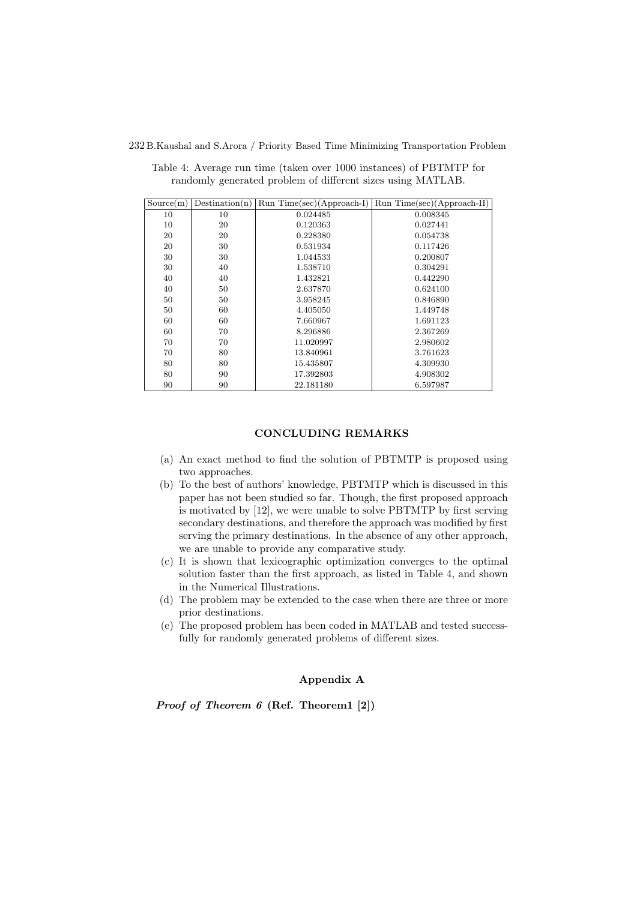| Source(m) | Destination(n) | $Run Time(sec)(Approxch-I)$ | $Run Time(sec)(Approxch-II)$ |
|-----------|----------------|-----------------------------|------------------------------|
| 10        | 10             | 0.024485                    | 0.008345                     |
| 10        | 20             | 0.120363                    | 0.027441                     |
| 20        | 20             | 0.228380                    | 0.054738                     |
| 20        | 30             | 0.531934                    | 0.117426                     |
| 30        | 30             | 1.044533                    | 0.200807                     |
| 30        | 40             | 1.538710                    | 0.304291                     |
| 40        | 40             | 1.432821                    | 0.442290                     |
| 40        | 50             | 2.637870                    | 0.624100                     |
| 50        | 50             | 3.958245                    | 0.846890                     |
| 50        | 60             | 4.405050                    | 1.449748                     |
| 60        | 60             | 7.660967                    | 1.691123                     |
| 60        | 70             | 8.296886                    | 2.367269                     |
| 70        | 70             | 11.020997                   | 2.980602                     |
| 70        | 80             | 13.840961                   | 3.761623                     |
| 80        | 80             | 15.435807                   | 4.309930                     |
| 80        | 90             | 17.392803                   | 4.908302                     |
| 90        | 90             | 22.181180                   | 6.597987                     |

Table 4: Average run time (taken over 1000 instances) of PBTMTP for randomly generated problem of different sizes using MATLAB.

# CONCLUDING REMARKS

- (a) An exact method to find the solution of PBTMTP is proposed using two approaches.
- (b) To the best of authors' knowledge, PBTMTP which is discussed in this paper has not been studied so far. Though, the first proposed approach is motivated by [12], we were unable to solve PBTMTP by first serving secondary destinations, and therefore the approach was modified by first serving the primary destinations. In the absence of any other approach, we are unable to provide any comparative study.
- (c) It is shown that lexicographic optimization converges to the optimal solution faster than the first approach, as listed in Table 4, and shown in the Numerical Illustrations.
- (d) The problem may be extended to the case when there are three or more prior destinations.
- (e) The proposed problem has been coded in MATLAB and tested successfully for randomly generated problems of different sizes.

# Appendix A

Proof of Theorem 6 (Ref. Theorem1 [2])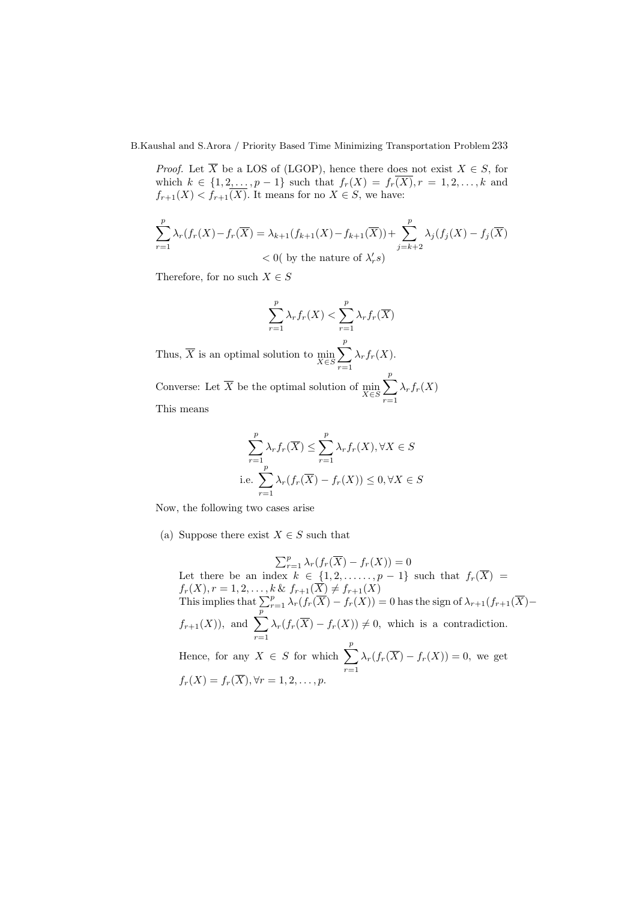*Proof.* Let  $\overline{X}$  be a LOS of (LGOP), hence there does not exist  $X \in S$ , for which  $k \in \{1, 2, ..., p-1\}$  such that  $f_r(X) = f_r(X), r = 1, 2, ..., k$  and  $f_{r+1}(X) < f_{r+1}(X)$ . It means for no  $X \in S$ , we have:

$$
\sum_{r=1}^{p} \lambda_r(f_r(X) - f_r(\overline{X})) = \lambda_{k+1}(f_{k+1}(X) - f_{k+1}(\overline{X})) + \sum_{j=k+2}^{p} \lambda_j(f_j(X) - f_j(\overline{X}))
$$
  
< 0( by the nature of  $\lambda'_r s$ )

Therefore, for no such  $X \in S$ 

$$
\sum_{r=1}^{p} \lambda_r f_r(X) < \sum_{r=1}^{p} \lambda_r f_r(\overline{X})
$$
\nal solution to 
$$
\min \sum_{r=1}^{p} \lambda_r f_r(X).
$$

Thus, X is an optimal solution to  $\min_{X \in S}$  $r=1$  $\lambda_r f_r(X)$ . Converse: Let X be the optimal solution of  $\min_{X \in S}$  $\sum_{i=1}^{p}$  $r=1$  $\lambda_r f_r(X)$ 

This means

$$
\sum_{r=1}^{p} \lambda_r f_r(\overline{X}) \le \sum_{r=1}^{p} \lambda_r f_r(X), \forall X \in S
$$
  
i.e. 
$$
\sum_{r=1}^{p} \lambda_r (f_r(\overline{X}) - f_r(X)) \le 0, \forall X \in S
$$

Now, the following two cases arise

(a) Suppose there exist  $X \in S$  such that

 $\sum_{r=1}^{p} \lambda_r(f_r(\overline{X}) - f_r(X)) = 0$ Let there be an index  $k \in \{1, 2, \ldots, p-1\}$  such that  $f_r(\overline{X}) =$  $f_r(X), r = 1, 2, \ldots, k \& f_{r+1}(X) \neq f_{r+1}(X)$ This implies that  $\sum_{r=1}^{p} \lambda_r(f_r(\overline{X}) - f_r(\overline{X})) = 0$  has the sign of  $\lambda_{r+1}(f_{r+1}(\overline{X}) - f_r(\overline{X}))$  $f_{r+1}(X)$ , and  $\sum^{\overline{p}}$  $r=1$  $\lambda_r(f_r(X) - f_r(X)) \neq 0$ , which is a contradiction. Hence, for any  $X \in S$  for which  $\sum_{i=1}^{p}$  $r=1$  $\lambda_r(f_r(\overline{X})-f_r(X))=0$ , we get  $f_r(X) = f_r(\overline{X}), \forall r = 1, 2, \ldots, p.$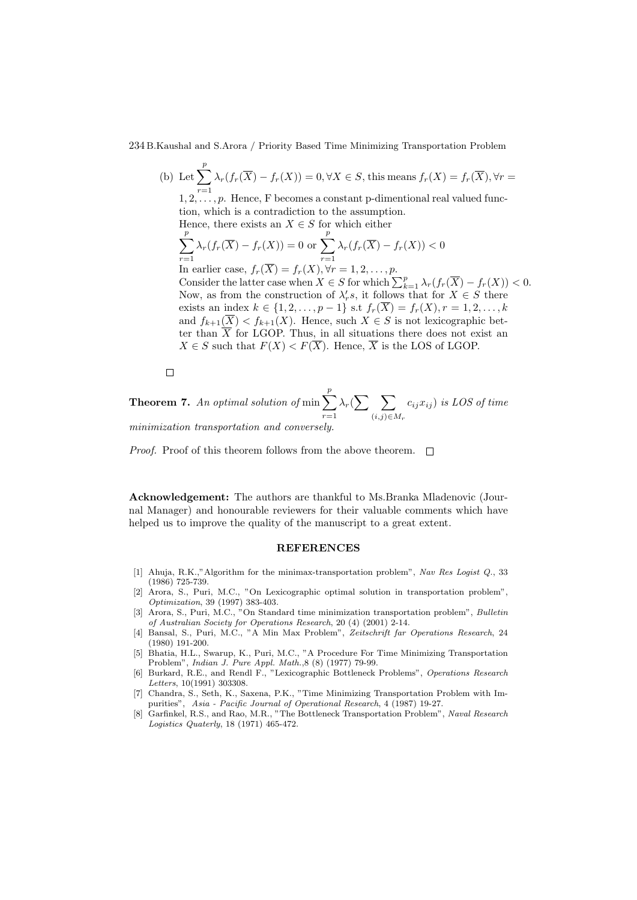(b) Let  $\sum_{i=1}^{p}$  $r=1$  $\lambda_r(f_r(X) - f_r(X)) = 0, \forall X \in S$ , this means  $f_r(X) = f_r(\overline{X})$ ,  $\forall r =$  $1, 2, \ldots, p$ . Hence, F becomes a constant p-dimentional real valued function, which is a contradiction to the assumption. Hence, there exists an  $X \in S$  for which either  $\sum_{i=1}^{p}$  $r=1$  $\lambda_r(f_r(\overline{X}) - f_r(X)) = 0$  or  $\sum_{r=1}^{p}$  $r=1$  $\lambda_r(f_r(X) - f_r(X)) < 0$ In earlier case,  $f_r(X) = f_r(X), \forall r = 1, 2, \ldots, p$ . Consider the latter case when  $X \in S$  for which  $\sum_{k=1}^{p} \lambda_r(f_r(\overline{X}) - f_r(X)) < 0$ . Now, as from the construction of  $\lambda'_r s$ , it follows that for  $X \in S$  there exists an index  $k \in \{1, 2, ..., p-1\}$  s.t  $f_r(\overline{X}) = f_r(X), r = 1, 2, ..., k$ and  $f_{k+1}(\overline{X}) < f_{k+1}(X)$ . Hence, such  $X \in S$  is not lexicographic better than  $\overline{X}$  for LGOP. Thus, in all situations there does not exist an  $X \in S$  such that  $F(X) < F(\overline{X})$ . Hence,  $\overline{X}$  is the LOS of LGOP.

 $\Box$ 

**Theorem 7.** An optimal solution of min $\sum_{i=1}^{p}$  $r=1$  $\lambda_r(\sum \sum)$  $(i,j) \in M_r$  $c_{ij}x_{ij}$ ) is LOS of time minimization transportation and conversely.

*Proof.* Proof of this theorem follows from the above theorem.  $\Box$ 

Acknowledgement: The authors are thankful to Ms.Branka Mladenovic (Journal Manager) and honourable reviewers for their valuable comments which have helped us to improve the quality of the manuscript to a great extent.

#### REFERENCES

- [1] Ahuja, R.K.,"Algorithm for the minimax-transportation problem", Nav Res Logist Q., 33 (1986) 725-739.
- [2] Arora, S., Puri, M.C., "On Lexicographic optimal solution in transportation problem", Optimization, 39 (1997) 383-403.
- [3] Arora, S., Puri, M.C., "On Standard time minimization transportation problem", Bulletin of Australian Society for Operations Research, 20 (4) (2001) 2-14.
- [4] Bansal, S., Puri, M.C., "A Min Max Problem", Zeitschrift far Operations Research, 24 (1980) 191-200.
- [5] Bhatia, H.L., Swarup, K., Puri, M.C., "A Procedure For Time Minimizing Transportation Problem", Indian J. Pure Appl. Math.,8 (8) (1977) 79-99.
- [6] Burkard, R.E., and Rendl F., "Lexicographic Bottleneck Problems", Operations Research Letters, 10(1991) 303308.
- [7] Chandra, S., Seth, K., Saxena, P.K., "Time Minimizing Transportation Problem with Impurities", Asia - Pacific Journal of Operational Research, 4 (1987) 19-27.
- Garfinkel, R.S., and Rao, M.R., "The Bottleneck Transportation Problem", Naval Research Logistics Quaterly, 18 (1971) 465-472.